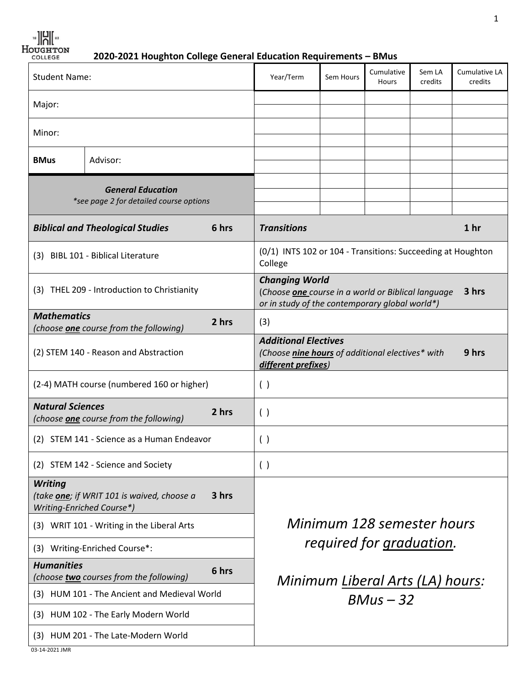$\frac{18}{18}$   $\frac{12}{18}$   $\frac{12}{18}$   $\frac{12}{18}$   $\frac{12}{18}$ 

 **2020-2021 Houghton College General Education Requirements – BMus**

| Major:<br>Minor:<br>Advisor:<br><b>BMus</b><br><b>General Education</b><br>*see page 2 for detailed course options<br>6 hrs<br><b>Transitions</b><br>1 <sub>hr</sub><br><b>Biblical and Theological Studies</b><br>(0/1) INTS 102 or 104 - Transitions: Succeeding at Houghton<br><b>BIBL 101 - Biblical Literature</b><br>(3)<br>College<br><b>Changing World</b><br>(3) THEL 209 - Introduction to Christianity<br>3 hrs<br>(Choose one course in a world or Biblical language<br>or in study of the contemporary global world*)<br><b>Mathematics</b><br>2 hrs<br>(3)<br>(choose <b>one</b> course from the following)<br><b>Additional Electives</b><br>9 hrs<br>(2) STEM 140 - Reason and Abstraction<br>(Choose nine hours of additional electives* with<br>different prefixes)<br>(2-4) MATH course (numbered 160 or higher)<br>( )<br><b>Natural Sciences</b><br>2 hrs<br>( )<br>(choose <b>one</b> course from the following)<br>(2) STEM 141 - Science as a Human Endeavor<br>( )<br>(2) STEM 142 - Science and Society<br>( )<br><b>Writing</b><br>3 hrs<br>(take one; if WRIT 101 is waived, choose a<br>Writing-Enriched Course*)<br>Minimum 128 semester hours<br>(3) WRIT 101 - Writing in the Liberal Arts<br>required for graduation.<br>Writing-Enriched Course*:<br>(3) | <b>Student Name:</b> |  | Year/Term | Sem Hours   | Cumulative<br>Hours | Sem LA<br>credits | Cumulative LA<br>credits |  |
|--------------------------------------------------------------------------------------------------------------------------------------------------------------------------------------------------------------------------------------------------------------------------------------------------------------------------------------------------------------------------------------------------------------------------------------------------------------------------------------------------------------------------------------------------------------------------------------------------------------------------------------------------------------------------------------------------------------------------------------------------------------------------------------------------------------------------------------------------------------------------------------------------------------------------------------------------------------------------------------------------------------------------------------------------------------------------------------------------------------------------------------------------------------------------------------------------------------------------------------------------------------------------------------------|----------------------|--|-----------|-------------|---------------------|-------------------|--------------------------|--|
|                                                                                                                                                                                                                                                                                                                                                                                                                                                                                                                                                                                                                                                                                                                                                                                                                                                                                                                                                                                                                                                                                                                                                                                                                                                                                            |                      |  |           |             |                     |                   |                          |  |
|                                                                                                                                                                                                                                                                                                                                                                                                                                                                                                                                                                                                                                                                                                                                                                                                                                                                                                                                                                                                                                                                                                                                                                                                                                                                                            |                      |  |           |             |                     |                   |                          |  |
|                                                                                                                                                                                                                                                                                                                                                                                                                                                                                                                                                                                                                                                                                                                                                                                                                                                                                                                                                                                                                                                                                                                                                                                                                                                                                            |                      |  |           |             |                     |                   |                          |  |
|                                                                                                                                                                                                                                                                                                                                                                                                                                                                                                                                                                                                                                                                                                                                                                                                                                                                                                                                                                                                                                                                                                                                                                                                                                                                                            |                      |  |           |             |                     |                   |                          |  |
|                                                                                                                                                                                                                                                                                                                                                                                                                                                                                                                                                                                                                                                                                                                                                                                                                                                                                                                                                                                                                                                                                                                                                                                                                                                                                            |                      |  |           |             |                     |                   |                          |  |
|                                                                                                                                                                                                                                                                                                                                                                                                                                                                                                                                                                                                                                                                                                                                                                                                                                                                                                                                                                                                                                                                                                                                                                                                                                                                                            |                      |  |           |             |                     |                   |                          |  |
|                                                                                                                                                                                                                                                                                                                                                                                                                                                                                                                                                                                                                                                                                                                                                                                                                                                                                                                                                                                                                                                                                                                                                                                                                                                                                            |                      |  |           |             |                     |                   |                          |  |
|                                                                                                                                                                                                                                                                                                                                                                                                                                                                                                                                                                                                                                                                                                                                                                                                                                                                                                                                                                                                                                                                                                                                                                                                                                                                                            |                      |  |           |             |                     |                   |                          |  |
|                                                                                                                                                                                                                                                                                                                                                                                                                                                                                                                                                                                                                                                                                                                                                                                                                                                                                                                                                                                                                                                                                                                                                                                                                                                                                            |                      |  |           |             |                     |                   |                          |  |
|                                                                                                                                                                                                                                                                                                                                                                                                                                                                                                                                                                                                                                                                                                                                                                                                                                                                                                                                                                                                                                                                                                                                                                                                                                                                                            |                      |  |           |             |                     |                   |                          |  |
|                                                                                                                                                                                                                                                                                                                                                                                                                                                                                                                                                                                                                                                                                                                                                                                                                                                                                                                                                                                                                                                                                                                                                                                                                                                                                            |                      |  |           |             |                     |                   |                          |  |
|                                                                                                                                                                                                                                                                                                                                                                                                                                                                                                                                                                                                                                                                                                                                                                                                                                                                                                                                                                                                                                                                                                                                                                                                                                                                                            |                      |  |           |             |                     |                   |                          |  |
|                                                                                                                                                                                                                                                                                                                                                                                                                                                                                                                                                                                                                                                                                                                                                                                                                                                                                                                                                                                                                                                                                                                                                                                                                                                                                            |                      |  |           |             |                     |                   |                          |  |
|                                                                                                                                                                                                                                                                                                                                                                                                                                                                                                                                                                                                                                                                                                                                                                                                                                                                                                                                                                                                                                                                                                                                                                                                                                                                                            |                      |  |           |             |                     |                   |                          |  |
|                                                                                                                                                                                                                                                                                                                                                                                                                                                                                                                                                                                                                                                                                                                                                                                                                                                                                                                                                                                                                                                                                                                                                                                                                                                                                            |                      |  |           |             |                     |                   |                          |  |
|                                                                                                                                                                                                                                                                                                                                                                                                                                                                                                                                                                                                                                                                                                                                                                                                                                                                                                                                                                                                                                                                                                                                                                                                                                                                                            |                      |  |           |             |                     |                   |                          |  |
| 6 hrs<br>(choose two courses from the following)<br>Minimum Liberal Arts (LA) hours:                                                                                                                                                                                                                                                                                                                                                                                                                                                                                                                                                                                                                                                                                                                                                                                                                                                                                                                                                                                                                                                                                                                                                                                                       | <b>Humanities</b>    |  |           | $BMus - 32$ |                     |                   |                          |  |
| (3) HUM 101 - The Ancient and Medieval World                                                                                                                                                                                                                                                                                                                                                                                                                                                                                                                                                                                                                                                                                                                                                                                                                                                                                                                                                                                                                                                                                                                                                                                                                                               |                      |  |           |             |                     |                   |                          |  |
| HUM 102 - The Early Modern World<br>(3)                                                                                                                                                                                                                                                                                                                                                                                                                                                                                                                                                                                                                                                                                                                                                                                                                                                                                                                                                                                                                                                                                                                                                                                                                                                    |                      |  |           |             |                     |                   |                          |  |
| (3) HUM 201 - The Late-Modern World                                                                                                                                                                                                                                                                                                                                                                                                                                                                                                                                                                                                                                                                                                                                                                                                                                                                                                                                                                                                                                                                                                                                                                                                                                                        | 03-14-2021 JMR       |  |           |             |                     |                   |                          |  |